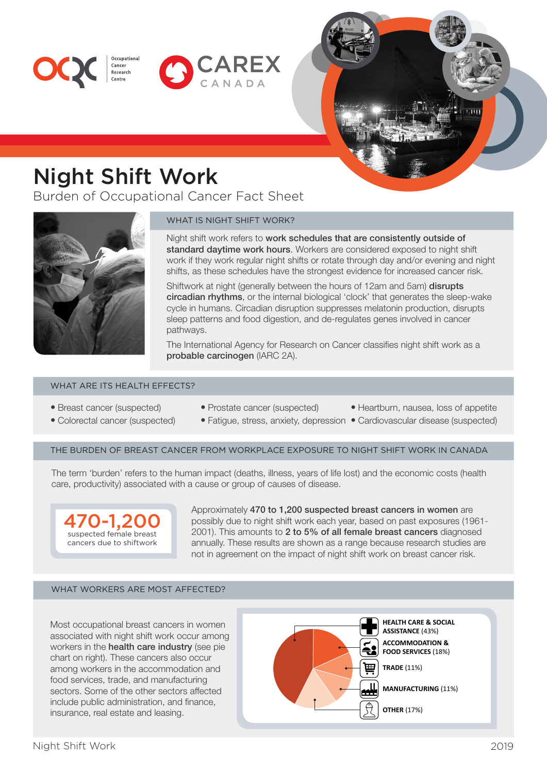



# Night Shift Work

Cancer Research

Burden of Occupational Cancer Fact Sheet



### WHAT IS NIGHT SHIFT WORK?

Night shift work refers to work schedules that are consistently outside of standard daytime work hours. Workers are considered exposed to night shift work if they work regular night shifts or rotate through day and/or evening and night shifts, as these schedules have the strongest evidence for increased cancer risk.

Shiftwork at night (generally between the hours of 12am and 5am) disrupts circadian rhythms, or the internal biological 'clock' that generates the sleep-wake cycle in humans. Circadian disruption suppresses melatonin production, disrupts sleep patterns and food digestion, and de-regulates genes involved in cancer pathways.

The International Agency for Research on Cancer classifies night shift work as a probable carcinogen (IARC 2A).

#### WHAT ARE ITS HEALTH EFFECTS?

- Breast cancer (suspected)
- Prostate cancer (suspected)
- Heartburn, nausea, loss of appetite
- Colorectal cancer (suspected)
- 
- 
- 
- Fatigue, stress, anxiety, depression Cardiovascular disease (suspected)
- 

THE BURDEN OF BREAST CANCER FROM WORKPLACE EXPOSURE TO NIGHT SHIFT WORK IN CANADA

The term 'burden' refers to the human impact (deaths, illness, years of life lost) and the economic costs (health care, productivity) associated with a cause or group of causes of disease.



Approximately 470 to 1,200 suspected breast cancers in women are possibly due to night shift work each year, based on past exposures (1961- 2001). This amounts to 2 to 5% of all female breast cancers diagnosed annually. These results are shown as a range because research studies are not in agreement on the impact of night shift work on breast cancer risk.

#### WHAT WORKERS ARE MOST AFFECTED?

Most occupational breast cancers in women associated with night shift work occur among workers in the health care industry (see pie chart on right). These cancers also occur among workers in the accommodation and food services, trade, and manufacturing sectors. Some of the other sectors affected include public administration, and finance, insurance, real estate and leasing.